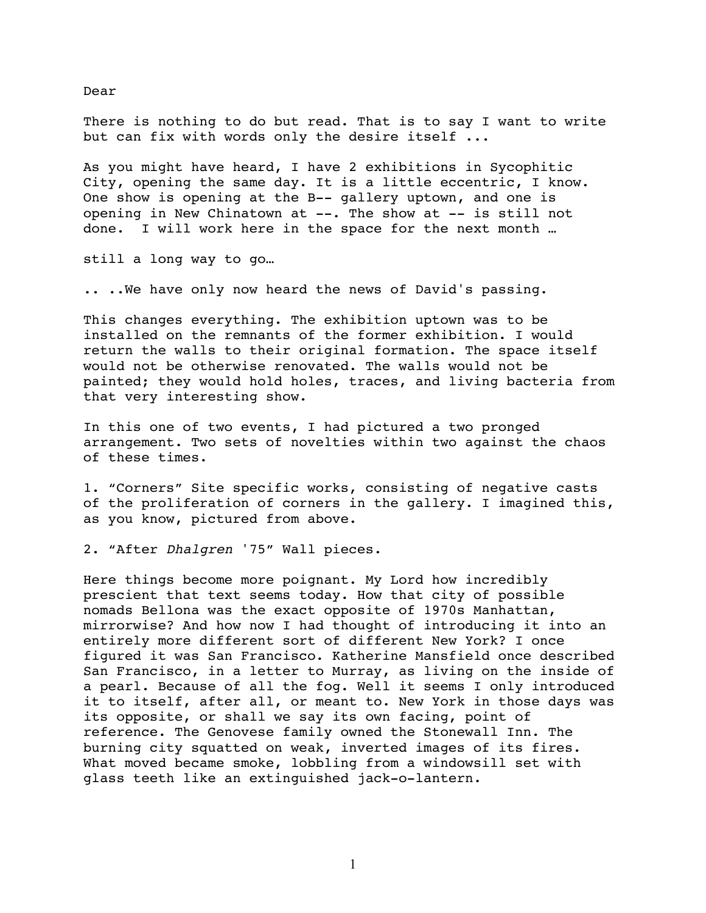There is nothing to do but read. That is to say I want to write but can fix with words only the desire itself ...

As you might have heard, I have 2 exhibitions in Sycophitic City, opening the same day. It is a little eccentric, I know. One show is opening at the B-- gallery uptown, and one is opening in New Chinatown at --. The show at -- is still not done. I will work here in the space for the next month …

still a long way to go…

.. ..We have only now heard the news of David's passing.

This changes everything. The exhibition uptown was to be installed on the remnants of the former exhibition. I would return the walls to their original formation. The space itself would not be otherwise renovated. The walls would not be painted; they would hold holes, traces, and living bacteria from that very interesting show.

In this one of two events, I had pictured a two pronged arrangement. Two sets of novelties within two against the chaos of these times.

1. "Corners" Site specific works, consisting of negative casts of the proliferation of corners in the gallery. I imagined this, as you know, pictured from above.

2. "After *Dhalgren* '75" Wall pieces.

Here things become more poignant. My Lord how incredibly prescient that text seems today. How that city of possible nomads Bellona was the exact opposite of 1970s Manhattan, mirrorwise? And how now I had thought of introducing it into an entirely more different sort of different New York? I once figured it was San Francisco. Katherine Mansfield once described San Francisco, in a letter to Murray, as living on the inside of a pearl. Because of all the fog. Well it seems I only introduced it to itself, after all, or meant to. New York in those days was its opposite, or shall we say its own facing, point of reference. The Genovese family owned the Stonewall Inn. The burning city squatted on weak, inverted images of its fires. What moved became smoke, lobbling from a windowsill set with glass teeth like an extinguished jack-o-lantern.

Dear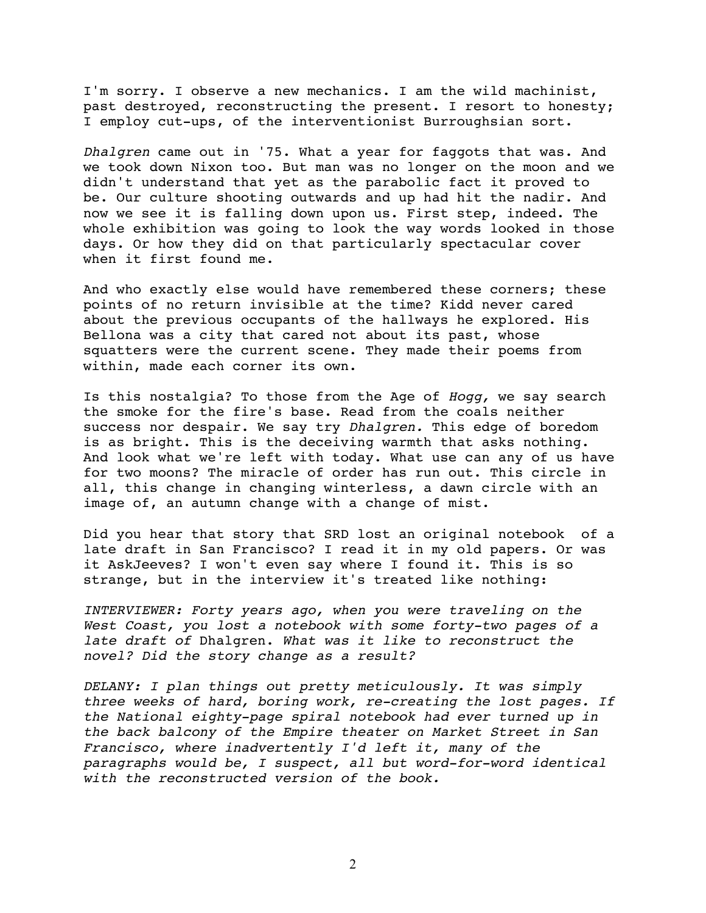I'm sorry. I observe a new mechanics. I am the wild machinist, past destroyed, reconstructing the present. I resort to honesty; I employ cut-ups, of the interventionist Burroughsian sort.

*Dhalgren* came out in '75. What a year for faggots that was. And we took down Nixon too. But man was no longer on the moon and we didn't understand that yet as the parabolic fact it proved to be. Our culture shooting outwards and up had hit the nadir. And now we see it is falling down upon us. First step, indeed. The whole exhibition was going to look the way words looked in those days. Or how they did on that particularly spectacular cover when it first found me.

And who exactly else would have remembered these corners; these points of no return invisible at the time? Kidd never cared about the previous occupants of the hallways he explored. His Bellona was a city that cared not about its past, whose squatters were the current scene. They made their poems from within, made each corner its own.

Is this nostalgia? To those from the Age of *Hogg,* we say search the smoke for the fire's base. Read from the coals neither success nor despair. We say try *Dhalgren.* This edge of boredom is as bright. This is the deceiving warmth that asks nothing. And look what we're left with today. What use can any of us have for two moons? The miracle of order has run out. This circle in all, this change in changing winterless, a dawn circle with an image of, an autumn change with a change of mist.

Did you hear that story that SRD lost an original notebook of a late draft in San Francisco? I read it in my old papers. Or was it AskJeeves? I won't even say where I found it. This is so strange, but in the interview it's treated like nothing:

*INTERVIEWER: Forty years ago, when you were traveling on the West Coast, you lost a notebook with some forty-two pages of a late draft of* Dhalgren. *What was it like to reconstruct the novel? Did the story change as a result?*

*DELANY: I plan things out pretty meticulously. It was simply three weeks of hard, boring work, re-creating the lost pages. If the National eighty-page spiral notebook had ever turned up in the back balcony of the Empire theater on Market Street in San Francisco, where inadvertently I'd left it, many of the paragraphs would be, I suspect, all but word-for-word identical with the reconstructed version of the book.*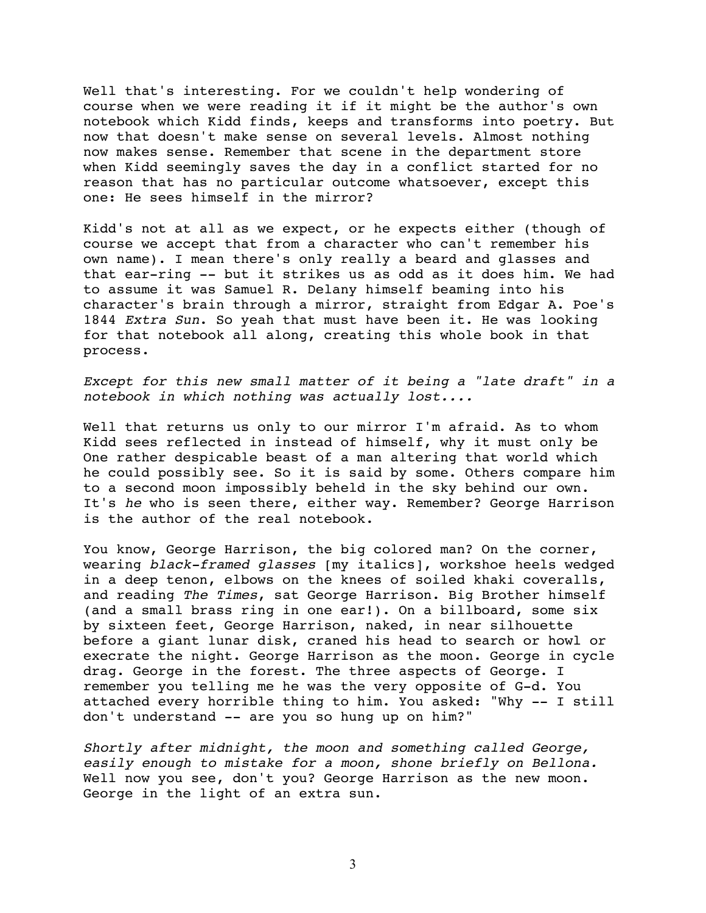Well that's interesting. For we couldn't help wondering of course when we were reading it if it might be the author's own notebook which Kidd finds, keeps and transforms into poetry. But now that doesn't make sense on several levels. Almost nothing now makes sense. Remember that scene in the department store when Kidd seemingly saves the day in a conflict started for no reason that has no particular outcome whatsoever, except this one: He sees himself in the mirror?

Kidd's not at all as we expect, or he expects either (though of course we accept that from a character who can't remember his own name). I mean there's only really a beard and glasses and that ear-ring -- but it strikes us as odd as it does him. We had to assume it was Samuel R. Delany himself beaming into his character's brain through a mirror, straight from Edgar A. Poe's 1844 *Extra Sun*. So yeah that must have been it. He was looking for that notebook all along, creating this whole book in that process.

*Except for this new small matter of it being a "late draft" in a notebook in which nothing was actually lost....*

Well that returns us only to our mirror I'm afraid. As to whom Kidd sees reflected in instead of himself, why it must only be One rather despicable beast of a man altering that world which he could possibly see. So it is said by some. Others compare him to a second moon impossibly beheld in the sky behind our own. It's *he* who is seen there, either way. Remember? George Harrison is the author of the real notebook.

You know, George Harrison, the big colored man? On the corner, wearing *black-framed glasses* [my italics], workshoe heels wedged in a deep tenon, elbows on the knees of soiled khaki coveralls, and reading *The Times*, sat George Harrison. Big Brother himself (and a small brass ring in one ear!). On a billboard, some six by sixteen feet, George Harrison, naked, in near silhouette before a giant lunar disk, craned his head to search or howl or execrate the night. George Harrison as the moon. George in cycle drag. George in the forest. The three aspects of George. I remember you telling me he was the very opposite of G-d. You attached every horrible thing to him. You asked: "Why -- I still don't understand -- are you so hung up on him?"

*Shortly after midnight, the moon and something called George, easily enough to mistake for a moon, shone briefly on Bellona.* Well now you see, don't you? George Harrison as the new moon. George in the light of an extra sun.